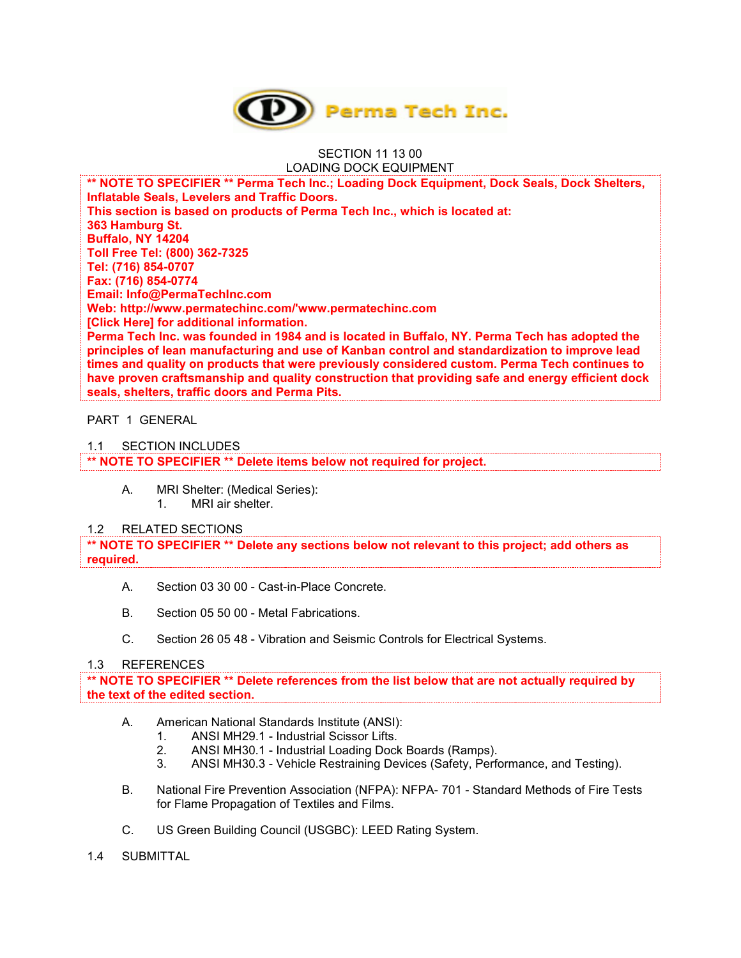

#### SECTION 11 13 00 LOADING DOCK EQUIPMENT

**\*\* NOTE TO SPECIFIER \*\* Perma Tech Inc.; Loading Dock Equipment, Dock Seals, Dock Shelters, Inflatable Seals, Levelers and Traffic Doors. This section is based on products of Perma Tech Inc., which is located at: 363 Hamburg St. Buffalo, NY 14204 Toll Free Tel: (800) 362-7325 Tel: (716) 854-0707 Fax: (716) 854-0774 Email: Info@PermaTechInc.com Web: http://www.permatechinc.com/'www.permatechinc.com [Click Here] for additional information. Perma Tech Inc. was founded in 1984 and is located in Buffalo, NY. Perma Tech has adopted the principles of lean manufacturing and use of Kanban control and standardization to improve lead times and quality on products that were previously considered custom. Perma Tech continues to have proven craftsmanship and quality construction that providing safe and energy efficient dock seals, shelters, traffic doors and Perma Pits.**

### PART 1 GENERAL

#### 1.1 SECTION INCLUDES

**\*\* NOTE TO SPECIFIER \*\* Delete items below not required for project.**

A. MRI Shelter: (Medical Series): 1. MRI air shelter.

#### 1.2 RELATED SECTIONS

**\*\* NOTE TO SPECIFIER \*\* Delete any sections below not relevant to this project; add others as required.**

- A. Section 03 30 00 Cast-in-Place Concrete.
- B. Section 05 50 00 Metal Fabrications.
- C. Section 26 05 48 Vibration and Seismic Controls for Electrical Systems.

#### 1.3 REFERENCES

**\*\* NOTE TO SPECIFIER \*\* Delete references from the list below that are not actually required by the text of the edited section.**

- A. American National Standards Institute (ANSI):
	- 1. ANSI MH29.1 Industrial Scissor Lifts.
	- 2. ANSI MH30.1 Industrial Loading Dock Boards (Ramps).
	- 3. ANSI MH30.3 Vehicle Restraining Devices (Safety, Performance, and Testing).
- B. National Fire Prevention Association (NFPA): NFPA- 701 Standard Methods of Fire Tests for Flame Propagation of Textiles and Films.
- C. US Green Building Council (USGBC): LEED Rating System.
- 1.4 SUBMITTAL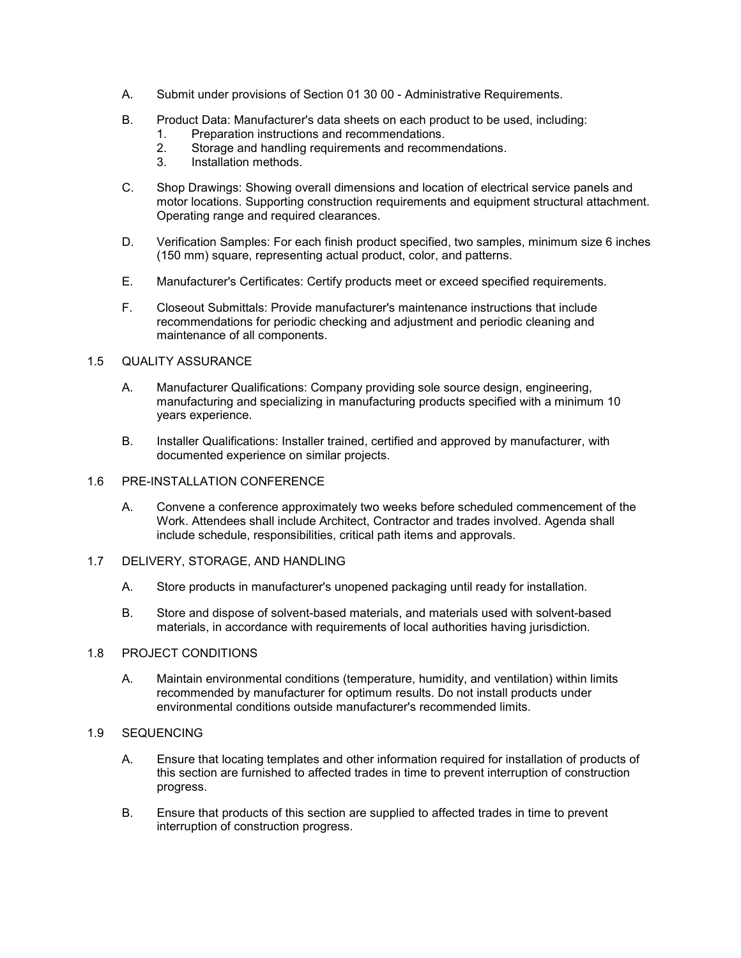- A. Submit under provisions of Section 01 30 00 Administrative Requirements.
- B. Product Data: Manufacturer's data sheets on each product to be used, including:
	- 1. Preparation instructions and recommendations.
	- 2. Storage and handling requirements and recommendations.
	- 3. Installation methods.
- C. Shop Drawings: Showing overall dimensions and location of electrical service panels and motor locations. Supporting construction requirements and equipment structural attachment. Operating range and required clearances.
- D. Verification Samples: For each finish product specified, two samples, minimum size 6 inches (150 mm) square, representing actual product, color, and patterns.
- E. Manufacturer's Certificates: Certify products meet or exceed specified requirements.
- F. Closeout Submittals: Provide manufacturer's maintenance instructions that include recommendations for periodic checking and adjustment and periodic cleaning and maintenance of all components.

#### 1.5 QUALITY ASSURANCE

- A. Manufacturer Qualifications: Company providing sole source design, engineering, manufacturing and specializing in manufacturing products specified with a minimum 10 years experience.
- B. Installer Qualifications: Installer trained, certified and approved by manufacturer, with documented experience on similar projects.

### 1.6 PRE-INSTALLATION CONFERENCE

- A. Convene a conference approximately two weeks before scheduled commencement of the Work. Attendees shall include Architect, Contractor and trades involved. Agenda shall include schedule, responsibilities, critical path items and approvals.
- 1.7 DELIVERY, STORAGE, AND HANDLING
	- A. Store products in manufacturer's unopened packaging until ready for installation.
	- B. Store and dispose of solvent-based materials, and materials used with solvent-based materials, in accordance with requirements of local authorities having jurisdiction.

# 1.8 PROJECT CONDITIONS

A. Maintain environmental conditions (temperature, humidity, and ventilation) within limits recommended by manufacturer for optimum results. Do not install products under environmental conditions outside manufacturer's recommended limits.

# 1.9 SEQUENCING

- A. Ensure that locating templates and other information required for installation of products of this section are furnished to affected trades in time to prevent interruption of construction progress.
- B. Ensure that products of this section are supplied to affected trades in time to prevent interruption of construction progress.